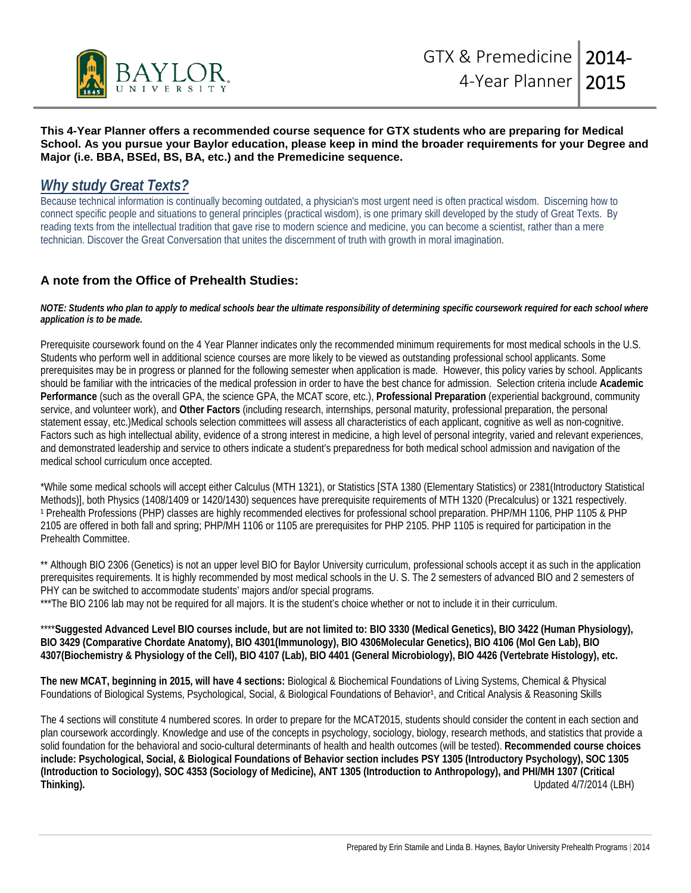

## **This 4-Year Planner offers a recommended course sequence for GTX students who are preparing for Medical School. As you pursue your Baylor education, please keep in mind the broader requirements for your Degree and Major (i.e. BBA, BSEd, BS, BA, etc.) and the Premedicine sequence.**

## *Why study Great Texts?*

Because technical information is continually becoming outdated, a physician's most urgent need is often practical wisdom. Discerning how to connect specific people and situations to general principles (practical wisdom), is one primary skill developed by the study of Great Texts. By reading texts from the intellectual tradition that gave rise to modern science and medicine, you can become a scientist, rather than a mere technician. Discover the Great Conversation that unites the discernment of truth with growth in moral imagination.

## **A note from the Office of Prehealth Studies:**

## *NOTE: Students who plan to apply to medical schools bear the ultimate responsibility of determining specific coursework required for each school where application is to be made.*

Prerequisite coursework found on the 4 Year Planner indicates only the recommended minimum requirements for most medical schools in the U.S. Students who perform well in additional science courses are more likely to be viewed as outstanding professional school applicants. Some prerequisites may be in progress or planned for the following semester when application is made. However, this policy varies by school. Applicants should be familiar with the intricacies of the medical profession in order to have the best chance for admission. Selection criteria include **Academic Performance** (such as the overall GPA, the science GPA, the MCAT score, etc.), **Professional Preparation** (experiential background, community service, and volunteer work), and **Other Factors** (including research, internships, personal maturity, professional preparation, the personal statement essay, etc.)Medical schools selection committees will assess all characteristics of each applicant, cognitive as well as non-cognitive. Factors such as high intellectual ability, evidence of a strong interest in medicine, a high level of personal integrity, varied and relevant experiences, and demonstrated leadership and service to others indicate a student's preparedness for both medical school admission and navigation of the medical school curriculum once accepted.

\*While some medical schools will accept either Calculus (MTH 1321), or Statistics [STA 1380 (Elementary Statistics) or 2381(Introductory Statistical Methods)], both Physics (1408/1409 or 1420/1430) sequences have prerequisite requirements of MTH 1320 (Precalculus) or 1321 respectively. <sup>1</sup> Prehealth Professions (PHP) classes are highly recommended electives for professional school preparation. PHP/MH 1106, PHP 1105 & PHP 2105 are offered in both fall and spring; PHP/MH 1106 or 1105 are prerequisites for PHP 2105. PHP 1105 is required for participation in the Prehealth Committee.

\*\* Although BIO 2306 (Genetics) is not an upper level BIO for Baylor University curriculum, professional schools accept it as such in the application prerequisites requirements. It is highly recommended by most medical schools in the U. S. The 2 semesters of advanced BIO and 2 semesters of PHY can be switched to accommodate students' majors and/or special programs.

\*\*\*The BIO 2106 lab may not be required for all majors. It is the student's choice whether or not to include it in their curriculum.

\*\*\*\***Suggested Advanced Level BIO courses include, but are not limited to: BIO 3330 (Medical Genetics), BIO 3422 (Human Physiology), BIO 3429 (Comparative Chordate Anatomy), BIO 4301(Immunology), BIO 4306Molecular Genetics), BIO 4106 (Mol Gen Lab), BIO 4307(Biochemistry & Physiology of the Cell), BIO 4107 (Lab), BIO 4401 (General Microbiology), BIO 4426 (Vertebrate Histology), etc.**

**The new MCAT, beginning in 2015, will have 4 sections:** Biological & Biochemical Foundations of Living Systems, Chemical & Physical Foundations of Biological Systems, Psychological, Social, & Biological Foundations of Behavior<sup>1</sup>, and Critical Analysis & Reasoning Skills

The 4 sections will constitute 4 numbered scores. In order to prepare for the MCAT2015, students should consider the content in each section and plan coursework accordingly. Knowledge and use of the concepts in psychology, sociology, biology, research methods, and statistics that provide a solid foundation for the behavioral and socio-cultural determinants of health and health outcomes (will be tested). **Recommended course choices include: Psychological, Social, & Biological Foundations of Behavior section includes PSY 1305 (Introductory Psychology), SOC 1305 (Introduction to Sociology), SOC 4353 (Sociology of Medicine), ANT 1305 (Introduction to Anthropology), and PHI/MH 1307 (Critical Thinking).** Updated 4/7/2014 (LBH)